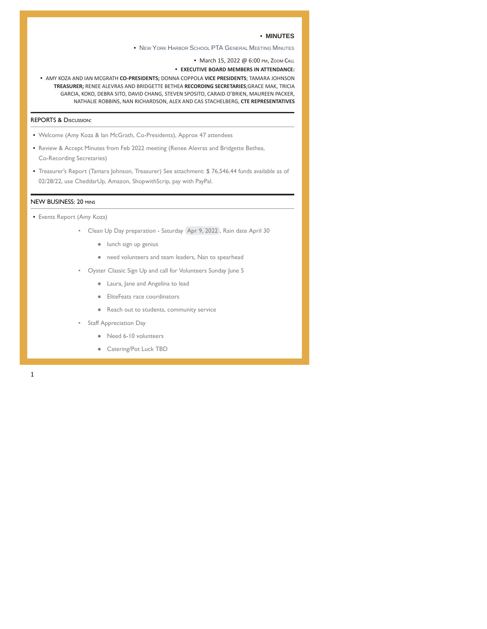### ▪ **MINUTES**

**▪** NEW YORK HARBOR SCHOOL PTA GENERAL MEETING MINUTES

• March 15, 2022 @ 6:00 PM, ZOOM CALL

▪ **EXECUTIVE BOARD MEMBERS IN ATTENDANCE:**

▪ AMY KOZA AND IAN MCGRATH **CO-PRESIDENTS;** DONNA COPPOLA **VICE PRESIDENTS**; TAMARA JOHNSON **TREASURER;** RENEE ALEVRAS AND BRIDGETTE BETHEA **RECORDING SECRETARIES**;GRACE MAK, TRICIA GARCIA, KOKO, DEBRA SITO, DAVID CHANG, STEVEN SPOSITO, CARAID O'BRIEN, MAUREEN PACKER, NATHALIE ROBBINS, NAN RICHARDSON, ALEX AND CAS STACHELBERG, **CTE REPRESENTATIVES**

## REPORTS & DISCUSSION:

- Welcome (Amy Koza & Ian McGrath, Co-Presidents), Approx 47 attendees
- Review & Accept Minutes from Feb 2022 meeting (Renee Alevras and Bridgette Bethea, Co-Recording Secretaries)
- Treasurer's Report (Tamara Johnson, Treasurer) See attachment: \$ 76,546.44 funds available as of 02/28/22, use CheddarUp, Amazon, ShopwithScrip, pay with PayPal.

### NEW BUSINESS: 20 MINS

- Events Report (Amy Koza)
	- Clean Up Day preparation Saturday Apr 9, 2022 , Rain date April 30
		- lunch sign up genius
		- need volunteers and team leaders, Nan to spearhead
	- Oyster Classic Sign Up and call for Volunteers Sunday June 5
		- Laura, Jane and Angelina to lead
		- EliteFeats race coordinators
		- Reach out to students, community service
	- **Staff Appreciation Day** 
		- Need 6-10 volunteers
		- Catering/Pot Luck TBD

1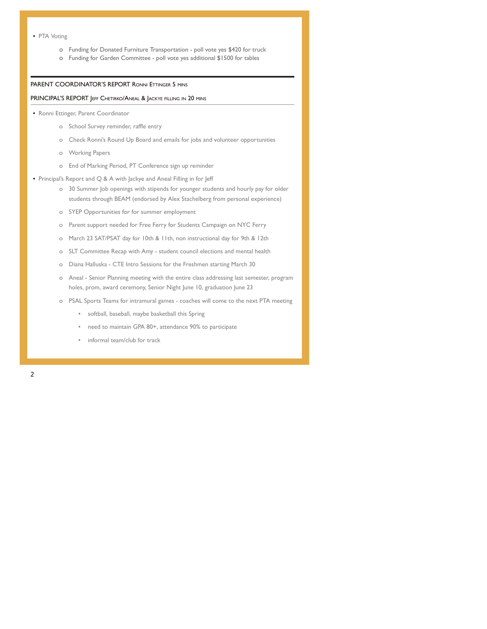- PTA Voting
	- o Funding for Donated Furniture Transportation poll vote yes \$420 for truck
	- o Funding for Garden Committee poll vote yes additional \$1500 for tables

#### PARENT COORDINATOR'S REPORT RONNI ETTINGER 5 MINS

#### PRINCIPAL'S REPORT JEFF CHETIRKO/ANEAL & JACKYE FILLING IN 20 MINS

- **Ronni Ettinger, Parent Coordinator** 
	- o School Survey reminder, raffle entry
	- o Check Ronni's Round Up Board and emails for jobs and volunteer opportunities
	- o Working Papers
	- o End of Marking Period, PT Conference sign up reminder
- Principal's Report and Q & A with Jackye and Aneal Filling in for Jeff
	- o 30 Summer Job openings with stipends for younger students and hourly pay for older students through BEAM (endorsed by Alex Stachelberg from personal experience)
	- o SYEP Opportunities for for summer employment
	- o Parent support needed for Free Ferry for Students Campaign on NYC Ferry
	- o March 23 SAT/PSAT day for 10th & 11th, non instructional day for 9th & 12th
	- o SLT Committee Recap with Amy student council elections and mental health
	- o Diana Halluska CTE Intro Sessions for the Freshmen starting March 30
	- o Aneal Senior Planning meeting with the entire class addressing last semester, program holes, prom, award ceremony, Senior Night June 10, graduation June 23
	- o PSAL Sports Teams for intramural games coaches will come to the next PTA meeting
		- softball, baseball, maybe basketball this Spring
		- need to maintain GPA 80+, attendance 90% to participate
		- informal team/club for track